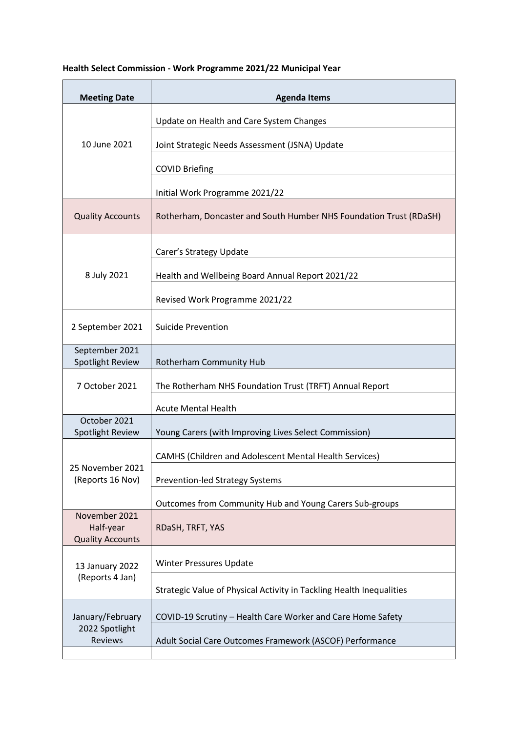## **Health Select Commission - Work Programme 2021/22 Municipal Year**

| <b>Meeting Date</b>                                   | <b>Agenda Items</b>                                                  |
|-------------------------------------------------------|----------------------------------------------------------------------|
| 10 June 2021                                          | Update on Health and Care System Changes                             |
|                                                       | Joint Strategic Needs Assessment (JSNA) Update                       |
|                                                       | <b>COVID Briefing</b>                                                |
|                                                       | Initial Work Programme 2021/22                                       |
| <b>Quality Accounts</b>                               | Rotherham, Doncaster and South Humber NHS Foundation Trust (RDaSH)   |
| 8 July 2021                                           | Carer's Strategy Update                                              |
|                                                       | Health and Wellbeing Board Annual Report 2021/22                     |
|                                                       | Revised Work Programme 2021/22                                       |
| 2 September 2021                                      | <b>Suicide Prevention</b>                                            |
| September 2021<br>Spotlight Review                    | Rotherham Community Hub                                              |
| 7 October 2021                                        | The Rotherham NHS Foundation Trust (TRFT) Annual Report              |
|                                                       | <b>Acute Mental Health</b>                                           |
| October 2021<br>Spotlight Review                      | Young Carers (with Improving Lives Select Commission)                |
| 25 November 2021<br>(Reports 16 Nov)                  | <b>CAMHS (Children and Adolescent Mental Health Services)</b>        |
|                                                       | <b>Prevention-led Strategy Systems</b>                               |
|                                                       | Outcomes from Community Hub and Young Carers Sub-groups              |
| November 2021<br>Half-year<br><b>Quality Accounts</b> | RDaSH, TRFT, YAS                                                     |
| 13 January 2022<br>(Reports 4 Jan)                    | <b>Winter Pressures Update</b>                                       |
|                                                       | Strategic Value of Physical Activity in Tackling Health Inequalities |
| January/February<br>2022 Spotlight<br>Reviews         | COVID-19 Scrutiny - Health Care Worker and Care Home Safety          |
|                                                       | Adult Social Care Outcomes Framework (ASCOF) Performance             |
|                                                       |                                                                      |